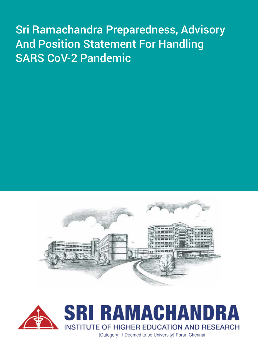# Sri Ramachandra Preparedness, Advisory And Position Statement For Handling SARS CoV-2 Pandemic





(Category - I Deemed to be University) Porur, Chennai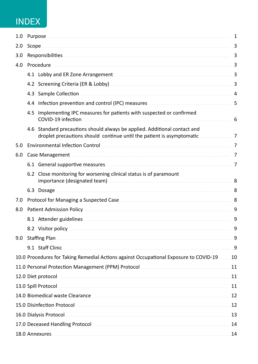# **INDEX**

| 1.0 |                                                                                                                                                                                                                                            | Purpose.                                                                                                                                                                                                                             |                |  |  |  |
|-----|--------------------------------------------------------------------------------------------------------------------------------------------------------------------------------------------------------------------------------------------|--------------------------------------------------------------------------------------------------------------------------------------------------------------------------------------------------------------------------------------|----------------|--|--|--|
| 2.0 | Scope                                                                                                                                                                                                                                      |                                                                                                                                                                                                                                      |                |  |  |  |
| 3.0 |                                                                                                                                                                                                                                            |                                                                                                                                                                                                                                      |                |  |  |  |
| 4.0 | Procedure                                                                                                                                                                                                                                  |                                                                                                                                                                                                                                      |                |  |  |  |
|     |                                                                                                                                                                                                                                            | 4.1 Lobby and ER Zone Arrangement <b>Election Contract and Service Contract and Service Contract and Service Contract and Service Contract and Service Contract and Service Contract and Service Contract and Service Contract a</b> | 3              |  |  |  |
|     |                                                                                                                                                                                                                                            | 4.2 Screening Criteria (ER & Lobby) <b>Construction Criteria</b> (ER & Lobby) and the set of the set of the set of the set of the set of the set of the set of the set of the set of the set of the set of the set of the set of th  | 3              |  |  |  |
|     |                                                                                                                                                                                                                                            | 4.3 Sample Collection <b>Superinten and Security Collection</b>                                                                                                                                                                      | 4              |  |  |  |
|     |                                                                                                                                                                                                                                            | 4.4 Infection prevention and control (IPC) measures <b>Act and Service and Service 2016</b>                                                                                                                                          | 5              |  |  |  |
|     | 4.5                                                                                                                                                                                                                                        | Implementing IPC measures for patients with suspected or confirmed<br>COVID-19 infection                                                                                                                                             | 6              |  |  |  |
|     |                                                                                                                                                                                                                                            | 4.6 Standard precautions should always be applied. Additional contact and<br>droplet precautions should continue until the patient is asymptomatic                                                                                   | 7              |  |  |  |
| 5.0 |                                                                                                                                                                                                                                            | Environmental Infection Control Control Control Content of the Content of the Content of The Content of The Co                                                                                                                       | 7              |  |  |  |
| 6.0 |                                                                                                                                                                                                                                            |                                                                                                                                                                                                                                      |                |  |  |  |
|     |                                                                                                                                                                                                                                            | 6.1 General supportive measures <b>Supportion and Senator</b> Senator Senator Senator Senator Senator Senator Senator Senator Senator Senator Senator Senator Senator Senator Senator Senator Senator Senator Senator Senator Senat  | $\overline{7}$ |  |  |  |
|     |                                                                                                                                                                                                                                            | 6.2 Close monitoring for worsening clinical status is of paramount<br>importance (designated team) <b>Superinters</b> 2014 1997 and 2015 1997 and 2016 1997 and 2016 1997 and 2016 1997 and 2016                                     | 8              |  |  |  |
|     |                                                                                                                                                                                                                                            | 6.3 Dosage                                                                                                                                                                                                                           | 8              |  |  |  |
| 7.0 |                                                                                                                                                                                                                                            |                                                                                                                                                                                                                                      | 8              |  |  |  |
| 8.0 |                                                                                                                                                                                                                                            |                                                                                                                                                                                                                                      |                |  |  |  |
|     |                                                                                                                                                                                                                                            | 8.1 Attender guidelines <b>Superintensis and Structure and Structure and Structure and Structure and Structure and Structure and Structure and Structure and Structure and Structure and Structure and Structure and Structure a</b> | 9              |  |  |  |
|     |                                                                                                                                                                                                                                            | 8.2 Visitor policy                                                                                                                                                                                                                   | 9              |  |  |  |
| 9.0 |                                                                                                                                                                                                                                            | Staffing Plan                                                                                                                                                                                                                        | 9              |  |  |  |
|     |                                                                                                                                                                                                                                            | 9.1 Staff Clinic                                                                                                                                                                                                                     | 9              |  |  |  |
|     |                                                                                                                                                                                                                                            | 10.0 Procedures for Taking Remedial Actions against Occupational Exposure to COVID-19                                                                                                                                                | 10             |  |  |  |
|     | 11.0 Personal Protection Management (PPM) Protocol <b>Management</b> (PPM) and the substitution of the substitution of<br>11                                                                                                               |                                                                                                                                                                                                                                      |                |  |  |  |
|     | 12.0 Diet protocol <b>with a series and the contract of the contract of the contract of the contract of the contract of the contract of the contract of the contract of the contract of the contract of the contract of the cont</b><br>11 |                                                                                                                                                                                                                                      |                |  |  |  |
|     | 13.0 Spill Protocol <b>Andrew Science And Tarakov</b> Science And Tarakov Science And Tarakov Science And Tarakov Science And Tarakov Science And Tarakov Science And Tarakov Science And Tarakov Science And Tarakov Science And T<br>11  |                                                                                                                                                                                                                                      |                |  |  |  |
|     | 14.0 Biomedical waste Clearance <b>Executive Strategie and Strategie and Strategie and Strategie and Strategie and Strategie and Strategie and Strategie and Strategie and Strategie and Strategie and Strategie and Strategie a</b><br>12 |                                                                                                                                                                                                                                      |                |  |  |  |
|     | 15.0 Disinfection Protocol<br>12                                                                                                                                                                                                           |                                                                                                                                                                                                                                      |                |  |  |  |
|     | 16.0 Dialysis Protocol<br>13                                                                                                                                                                                                               |                                                                                                                                                                                                                                      |                |  |  |  |
|     | 17.0 Deceased Handling Protocol <b>Constitution and Executive Construction</b> and a series of the series of the series of the series of the series of the series of the series of the series of the series of the series of the se<br>14  |                                                                                                                                                                                                                                      |                |  |  |  |
|     |                                                                                                                                                                                                                                            | 18.0 Annexures <b>Annexures Constitution and Security Anno 2012</b>                                                                                                                                                                  | 14             |  |  |  |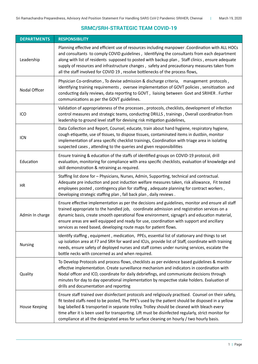# **SRMC/SRH-STRATEGIC TEAM COVID-19**

| <b>DEPARTMENTS</b> | <b>RESPONSIBILITY</b>                                                                                                                                                                                                                                                                                                                                                                                                                                                                                        |  |  |
|--------------------|--------------------------------------------------------------------------------------------------------------------------------------------------------------------------------------------------------------------------------------------------------------------------------------------------------------------------------------------------------------------------------------------------------------------------------------------------------------------------------------------------------------|--|--|
| Leadership         | Planning effective and efficient use of resources including manpower .Coordination with ALL HOCs<br>and consultants to comply COVID guidelines, Identifying the consultants from each department<br>along with list of residents supposed to posted with backup plan, Staff clinics, ensure adequate<br>supply of resources and infrastructure changes, safety and precautionary measures taken from<br>all the staff involved for COVID 19, resolve bottlenecks of the process flows,                       |  |  |
| Nodal Officer      | Physician Co-ordination, To devise admission & discharge criteria, management protocols,<br>identifying training requirements, oversee implementation of GOVT policies, sensitization and<br>conducting daily reviews, data reporting to GOVT, liaising between Govt and SRIHER. Further<br>communications as per the GOVT guidelines.                                                                                                                                                                       |  |  |
| ICO                | Validation of appropriateness of the processes, protocols, checklists, development of infection<br>control measures and strategic teams, conducting DRILLS, trainings, Overall coordination from<br>leadership to ground level staff for devising risk mitigation guidelines,                                                                                                                                                                                                                                |  |  |
| <b>ICN</b>         | Data Collection and Report, Counsel, educate, train about hand hygiene, respiratory hygiene,<br>cough etiquette, use of tissues, to dispose tissues, contaminated items in dustbin, monitor<br>implementation of area specific checklist trainings, Coordination with triage area in isolating<br>suspected cases, attending to the queries and given responsibilities                                                                                                                                       |  |  |
| Education          | Ensure training & education of the staffs of identified groups on COVID-19 protocol, drill<br>evaluation, monitoring for compliance with area specific checklists, evaluation of knowledge and<br>skill demonstration & retraining as required.                                                                                                                                                                                                                                                              |  |  |
| HR                 | Staffing list done for - Physicians, Nurses, Admin, Supporting, technical and contractual.<br>Adequate pre induction and post induction welfare measures taken, risk allowance, Fit tested<br>employees posted, contingency plan for staffing, adequate planning for contract workers,<br>Developing strategic staffing plan, fall back plan, daily reviews.                                                                                                                                                 |  |  |
| Admin In charge    | Ensure effective implementation as per the decisions and guidelines, monitor and ensure all staff<br>trained appropriate to the handled job, coordinate admission and registration services on a<br>dynamic basis, create smooth operational flow environment, signage's and education material,<br>ensure areas are well equipped and ready for use, coordination with support and ancillary<br>services as need based, developing route maps for patient flows.                                            |  |  |
| <b>Nursing</b>     | Identify staffing, equipment, medication, PPEs, essential list of stationary and things to set<br>up isolation area at F7 and SRH for ward and ICUs, provide list of Staff, coordinate with training<br>needs, ensure safety of deployed nurses and staff comes under nursing services, escalate the<br>bottle necks with concerned as and when required.                                                                                                                                                    |  |  |
| Quality            | To Develop Protocols and process flows, checklists as per evidence based guidelines & monitor<br>effective implementation. Create surveillance mechanism and indicators in coordination with<br>Nodal officer and ICO, coordinate for daily debriefings, and communicate decisions through<br>minutes for day to day operational implementation by respective stake holders. Evaluation of<br>drills and documentation and reporting                                                                         |  |  |
| House Keeping      | Ensure staff trained over disinfectant protocols and religiously practised. Counsel on their safety,<br>fit tested staffs need to be posted, The PPE's used by the patient should be disposed in a yellow<br>bag labelled & transported in separate trolley. Trolley should be cleaned with bleach every<br>time after it is been used for transporting. Lift must be disinfected regularly, strict monitor for<br>compliance at all the designated areas for surface cleaning on hourly / two hourly basis. |  |  |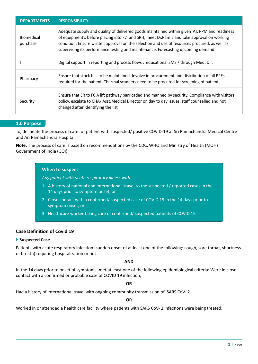| <b>DEPARTMENTS</b>            | <b>RESPONSIBILITY</b>                                                                                                                                                                                                                                                                                                                                                           |  |
|-------------------------------|---------------------------------------------------------------------------------------------------------------------------------------------------------------------------------------------------------------------------------------------------------------------------------------------------------------------------------------------------------------------------------|--|
| <b>Biomedical</b><br>purchase | Adequate supply and quality of delivered goods maintained within givenTAT, PPM and readiness<br>of equipment's before placing into F7 and SRH, meet Dr.Ram E and take approval on working<br>condition. Ensure written approval on the selection and use of resources procured, as well as<br>supervising its performance testing and maintenance. Forecasting upcoming demand. |  |
| IT                            | Digital support in reporting and process flows; educational SMS / through Med. Dir.                                                                                                                                                                                                                                                                                             |  |
| Pharmacy                      | Ensure that stock has to be maintained. Involve in procurement and distribution of all PPEs<br>required for the patient. Thermal scanners need to be procured for screening of patients                                                                                                                                                                                         |  |
| Security                      | Ensure that ER to FO A lift pathway barricaded and manned by security. Compliance with visitors<br>policy, escalate to CHA/ Asst. Medical Director on day to day issues. staff counselled and not<br>changed after identifying the list                                                                                                                                         |  |

# **1.0 Purpose**

To, delineate the process of care for patient with suspected/ positive COVID-19 at Sri Ramachandra Medical Centre and Ari Ramachandra Hospital.

**Note:** The process of care is based on recommendations by the CDC, WHO and Ministry of Health (MOH) Government of India (GOI)

#### **When to suspect**

*Any patient with acute respiratory illness with:*

- 1. A history of national and international travel to the suspected / reported cases in the 14 days prior to symptom onset, or
- 2. Close contact with a confirmed/ suspected case of COVID 19 in the 14 days prior to symptom onset, or
- 3. Healthcare worker taking care of confirmed/ suspected patients of COVID 19

# **Case Definition of Covid 19**

# **Suspected Case**

Patients with acute respiratory infection (sudden onset of at least one of the following: cough, sore throat, shortness of breath) requiring hospitalization or not

#### **AND**

In the 14 days prior to onset of symptoms, met at least one of the following epidemiological criteria: Were in close contact with a confirmed or probable case of COVID 19 infection;

#### **OR**

Had a history of international travel with ongoing community transmission of SARS CoV- 2

#### **OR**

Worked in or attended a health care facility where patients with SARS CoV- 2 infections were being treated.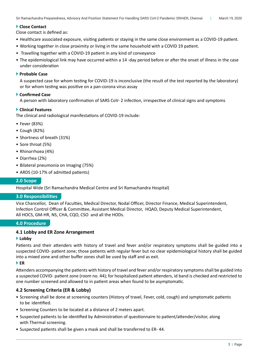# ▶ Close Contact

Close contact is defined as:

- • Healthcare associated exposure, visiting patients or staying in the same close environment as a COVID-19 patient.
- • Working together in close proximity or living in the same household with a COVID 19 patient.
- Travelling together with a COVID-19 patient in any kind of conveyance
- The epidemiological link may have occurred within a 14 -day period before or after the onset of illness in the case under consideration

# **Probable Case**

 A suspected case for whom testing for COVID-19 is inconclusive (the result of the test reported by the laboratory) or for whom testing was positive on a pan-corona virus assay

# **Confirmed Case**

A person with laboratory confirmation of SARS CoV- 2 infection, irrespective of clinical signs and symptoms

# **Clinical Features**

The clinical and radiological manifestations of COVID-19 include:

- • Fever (83%)
- • Cough (82%)
- • Shortness of breath (31%)
- Sore throat (5%)
- Rhinorrhoea (4%)
- • Diarrhea (2%)
- • Bilateral pneumonia on imaging (75%)
- ARDS (10-17% of admitted patients)

# **2.0 Scope**

Hospital Wide (Sri Ramachandra Medical Centre and Sri Ramachandra Hospital)

# **3.0 Responsibilities**

Vice Chancellor, Dean of Faculties, Medical Director, Nodal Officer, Director Finance, Medical Superintendent, Infection Control Officer & Committee, Assistant Medical Director, HQAD, Deputy Medical Superintendent, All HOCS, GM-HR, NS, CHA, CQO, CSO and all the HODs.

# **4.0 Procedure**

# **4.1 Lobby and ER Zone Arrangement**

# **Lobby**

Patients and their attenders with history of travel and fever and/or respiratory symptoms shall be guided into a suspected COVID- patient zone; those patients with regular fever but no clear epidemiological history shall be guided into a mixed zone and other buffer zones shall be used by staff and as exit.

# **ER**

Attenders accompanying the patients with history of travel and fever and/or respiratory symptomsshall be guided into a suspected COVID- patient zone (room no. 44); for hospitalized patient attenders, id band is checked and restricted to one number screened and allowed to in patient areas when found to be asymptomatic.

# **4.2 Screening Criteria (ER & Lobby)**

- • Screening shall be done at screening counters (History of travel, Fever, cold, cough) and symptomatic patients to be identified.
- Screening Counters to be located at a distance of 2 meters apart.
- • Suspected patients to be identified by Administration of questionnaire to patient/attender/visitor, along with Thermal screening.
- Suspected patients shall be given a mask and shall be transferred to ER- 44.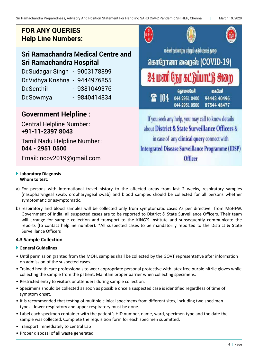# **FOR ANY QUERIES FOR ANY QUERIES** *Help Line Numbers:* **Help Line Numbers:**

# **Sri Ramachandra Medical Centre and Sri Ramachandra Hospital**

**Sri Ramachandra Medical Centre and**  Dr.Sudagar Singh - 9003178899 **Sri Ramachandra Hospital** Dr.Vidhya Krishna - 9444976855 **Dr.Sudagar Singh - 9003178899 / Dr.Vidhya Krishna -9444976855/ Dr.Senthil - 9381049376 / Dr.Sowmya – 9840414834** Dr.Senthil - 9381049376 Dr.Sowmya - 9840414834

# **Government helpline : Government Helpline :**

Central Helpline Number: +91-11-23978043 Central Helpline Number: Tamil Nadu Helpline Number: 044-29510500 **+91-11-2397 8043**

Email: ncov2019@gmail.com **044 - 2951 0500** Tamil Nadu Helpline Number:

Email: ncov2019@gmail.com



# **Laboratory Diagnosis Whom to test:**

- a) For persons with international travel history to the affected areas from last 2 weeks, respiratory samples (nasopharyngeal swab, oropharyngeal swab) and blood samples should be collected for all persons whether symptomatic or asymptomatic.
- b) respiratory and blood samples will be collected only from symptomatic cases As per directive from MoHFW, Government of India, all suspected cases are to be reported to District & State Surveillance Officers. Their team will arrange for sample collection and transport to the KING'S Institute and subsequently communicate the reports (to contact helpline number). \*All suspected cases to be mandatorily reported to the District & State Surveillance Officers

# **4.3 Sample Collection**

# **General Guidelines**

- Until permission granted from the MOH, samples shall be collected by the GOVT representative after information on admission of the suspected cases.
- • Trained health care professionals to wear appropriate personal protective with latex free purple nitrile gloves while collecting the sample from the patient. Maintain proper barrier when collecting specimens.
- Restricted entry to visitors or attenders during sample collection.
- • Specimens should be collected as soon as possible once a suspected case is identified regardless of time of symptom onset.
- It is recommended that testing of multiple clinical specimens from different sites, including two specimen types - lower respiratory and upper respiratory must be done.
- • Label each specimen container with the patient's HID number, name, ward, specimen type and the date the sample was collected. Complete the requisition form for each specimen submitted.
- Transport immediately to central Lab
- • Proper disposal of all waste generated.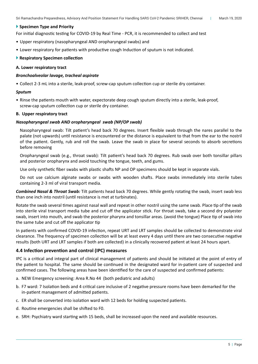#### **Specimen Type and Priority**

For initial diagnostic testing for COVID-19 by Real Time - PCR, it is recommended to collect and test

- • Upper respiratory (nasopharyngeal AND oropharyngeal swabs) and
- Lower respiratory for patients with productive cough Induction of sputum is not indicated.

#### **Respiratory Specimen collection**

#### **A. Lower respiratory tract**

#### *Bronchoalveolar lavage, tracheal aspirate*

• Collect 2-3 mL into a sterile, leak-proof, screw-cap sputum collection cup or sterile dry container.

#### *Sputum*

• Rinse the patients mouth with water, expectorate deep cough sputum directly into a sterile, leak-proof, screw-cap sputum collection cup or sterile dry container.

#### **B. Upper respiratory tract**

#### *Nasopharyngeal swab AND oropharyngeal swab (NP/OP swab)*

 Nasopharyngeal swab: Tilt patient's head back 70 degrees. Insert flexible swab through the nares parallel to the palate (not upwards) until resistance is encountered or the distance is equivalent to that from the ear to the nostril of the patient. Gently, rub and roll the swab. Leave the swab in place for several seconds to absorb secretions before removing

 Oropharyngeal swab (e.g., throat swab): Tilt patient's head back 70 degrees. Rub swab over both tonsillar pillars and posterior oropharynx and avoid touching the tongue, teeth, and gums.

 Use only synthetic fiber swabs with plastic shafts NP and OP specimens should be kept in separate vials.

 Do not use calcium alginate swabs or swabs with wooden shafts. Place swabs immediately into sterile tubes containing 2-3 ml of viral transport media.

*Combined Nasal & Throat Swab:* Tilt patients head back 70 degrees. While gently rotating the swab, insert swab less than one inch into nostril (until resistance is met at turbinates).

Rotate the swab several times against nasal wall and repeat in other nostril using the same swab. Place tip of the swab into sterile viral transport media tube and cut off the applicator stick. For throat swab, take a second dry polyester swab, insert into mouth, and swab the posterior pharynx and tonsillar areas. (avoid the tongue) Place tip of swab into the same tube and cut off the applicator tip

In patients with confirmed COVID-19 infection, repeat URT and LRT samples should be collected to demonstrate viral clearance. The frequency of specimen collection will be at least every 4 days until there are two consecutive negative results (both URT and LRT samples if both are collected) in a clinically recovered patient at least 24 hours apart.

# **4.4 Infection prevention and control (IPC) measures**

IPC is a critical and integral part of clinical management of patients and should be initiated at the point of entry of the patient to hospital. The same should be continued in the designated ward for in-patient care of suspected and confirmed cases. The following areas have been identified for the care of suspected and confirmed patients:

- a. NEW Emergency screening: Area R.No 44 (both pediatric and adults)
- b. F7 ward: 7 Isolation beds and 4 critical care inclusive of 2 negative pressure rooms have been demarked for the in-patient management of admitted patients.
- c. ER shall be converted into isolation ward with 12 beds for holding suspected patients.
- d. Routine emergencies shall be shifted to F0.
- e. SRH: Psychiatry ward starting with 15 beds, shall be increased upon the need and available resources.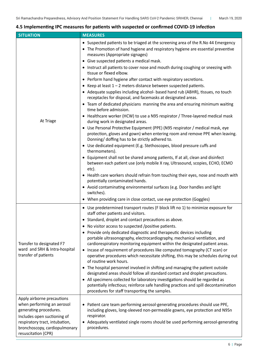# **4.5 Implementing IPC measures for patients with suspected or confirmed COVID-19 infection**

| <b>SITUATION</b>                                                                                                                                                                                            | <b>MEASURES</b>                                                                                                                                                                                                                                                                                                                                                                                                                                                                                                                                                                                                                                                                                                                                                                                                                                                                                                                                                                                                                                                                                                                                                                                                                                                                                                                                                                                                                                                                                                                                                                                                                                                                            |  |  |
|-------------------------------------------------------------------------------------------------------------------------------------------------------------------------------------------------------------|--------------------------------------------------------------------------------------------------------------------------------------------------------------------------------------------------------------------------------------------------------------------------------------------------------------------------------------------------------------------------------------------------------------------------------------------------------------------------------------------------------------------------------------------------------------------------------------------------------------------------------------------------------------------------------------------------------------------------------------------------------------------------------------------------------------------------------------------------------------------------------------------------------------------------------------------------------------------------------------------------------------------------------------------------------------------------------------------------------------------------------------------------------------------------------------------------------------------------------------------------------------------------------------------------------------------------------------------------------------------------------------------------------------------------------------------------------------------------------------------------------------------------------------------------------------------------------------------------------------------------------------------------------------------------------------------|--|--|
| At Triage                                                                                                                                                                                                   | • Suspected patients to be triaged at the screening area of the R.No 44 Emergency<br>• The Promotion of hand hygiene and respiratory hygiene are essential preventive<br>measures (Appropriate signages)<br>• Give suspected patients a medical mask.<br>• Instruct all patients to cover nose and mouth during coughing or sneezing with<br>tissue or flexed elbow.<br>• Perform hand hygiene after contact with respiratory secretions.<br>• Keep at least $1 - 2$ meters distance between suspected patients.<br>• Adequate supplies including alcohol- based hand rub (ABHR), tissues, no touch<br>receptacles for disposal, and facemasks at designated areas.<br>• Team of dedicated physicians manning the area and ensuring minimum waiting<br>time before admission.<br>• Healthcare worker (HCW) to use a N95 respirator / Three-layered medical mask<br>during work in designated areas.<br>• Use Personal Protective Equipment (PPE) (N95 respirator / medical mask, eye<br>protection, gloves and gown) when entering room and remove PPE when leaving.<br>Donning/ doffing has to be strictly adhered to.<br>• Use dedicated equipment (E.g. Stethoscopes, blood pressure cuffs and<br>thermometers).<br>• Equipment shall not be shared among patients, If at all, clean and disinfect<br>between each patient use (only mobile X ray, Ultrasound, scopies, ECHO, ECMO<br>etc).<br>• Health care workers should refrain from touching their eyes, nose and mouth with<br>potentially contaminated hands.<br>• Avoid contaminating environmental surfaces (e.g. Door handles and light<br>switches).<br>• When providing care in close contact, use eye protection (Goggles) |  |  |
| Transfer to designated F7<br>ward and SRH & Intra-hospital<br>transfer of patients                                                                                                                          | • Use predetermined transport routes (F block lift no 1) to minimize exposure for<br>staff other patients and visitors.<br>• Standard, droplet and contact precautions as above.<br>No visitor access to suspected /positive patients.<br>• Provide only dedicated diagnostic and therapeutic devices including<br>portable ultrasonography, electrocardiography, mechanical ventilation, and<br>cardiorespiratory monitoring equipment within the designated patient areas.<br>Incase of requirement of procedures like computed tomography (CT scan) or<br>$\bullet$<br>operative procedures which necessitate shifting, this may be schedules during out<br>of routine work hours.<br>• The hospital personnel involved in shifting and managing the patient outside<br>designated areas should follow all standard contact and droplet precautions.<br>• All specimens collected for laboratory investigations should be regarded as<br>potentially infectious; reinforce safe handling practices and spill decontamination<br>procedures for staff transporting the samples.                                                                                                                                                                                                                                                                                                                                                                                                                                                                                                                                                                                                          |  |  |
| Apply airborne precautions<br>when performing an aerosol<br>generating procedures.<br>Includes open suctioning of<br>respiratory tract, intubation,<br>bronchoscopy, cardiopulmonary<br>resuscitation (CPR) | Patient care team performing aerosol-generating procedures should use PPE,<br>including gloves, long-sleeved non-permeable gowns, eye protection and N95n<br>respirator.<br>• Adequately ventilated single rooms should be used performing aerosol-generating<br>procedures.                                                                                                                                                                                                                                                                                                                                                                                                                                                                                                                                                                                                                                                                                                                                                                                                                                                                                                                                                                                                                                                                                                                                                                                                                                                                                                                                                                                                               |  |  |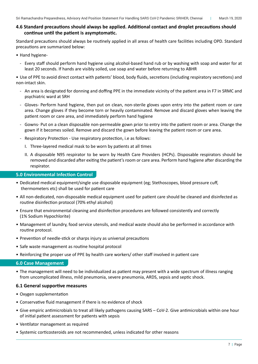# **4.6 Standard precautions should always be applied. Additional contact and droplet precautions should continue until the patient is asymptomatic.**

Standard precautions should always be routinely applied in all areas of health care facilities including OPD. Standard precautions are summarized below:

- Hand hygiene-
	- Every staff should perform hand hygiene using alcohol-based hand rub or by washing with soap and water for at least 20 seconds. If hands are visibly soiled, use soap and water before returning to ABHR

• Use of PPE to avoid direct contact with patients' blood, body fluids, secretions (including respiratory secretions) and non-intact skin.

- An area is designated for donning and doffing PPE in the immediate vicinity of the patient area in F7 in SRMC and psychiatric ward at SRH
- Gloves- Perform hand hygiene, then put on clean, non-sterile gloves upon entry into the patient room or care area. Change gloves if they become torn or heavily contaminated. Remove and discard gloves when leaving the patient room or care area, and immediately perform hand hygiene
- Gowns- Put on a clean disposable non-permeable gown prior to entry into the patient room or area. Change the gown if it becomes soiled. Remove and discard the gown before leaving the patient room or care area.
- Respiratory Protection Use respiratory protection, i.e as follows:
	- I. Three-layered medical mask to be worn by patients at all times
	- II. A disposable N95 respirator to be worn by Health Care Providers (HCPs). Disposable respirators should be removed and discarded after exiting the patient'sroom or care area. Perform hand hygiene after discarding the respirator.

# **5.0 Environmental Infection Control**

- • Dedicated medical equipment/single use disposable equipment (eg; Stethoscopes, blood pressure cuff, thermometers etc) shall be used for patient care
- • All non-dedicated, non-disposable medical equipment used for patient care should be cleaned and disinfected as routine disinfection protocol (70% ethyl alcohol)
- • Ensure that environmental cleaning and disinfection procedures are followed consistently and correctly (1% Sodium Hypochlorite)
- • Management of laundry, food service utensils, and medical waste should also be performed in accordance with routine protocol.
- Prevention of needle-stick or sharps injury as universal precautions
- • Safe waste management as routine hospital protocol
- • Reinforcing the proper use of PPE by health care workers/ other staff involved in patient care

# **6.0 Case Management**

• The management will need to be individualized as patient may present with a wide spectrum of illness ranging from uncomplicated illness, mild pneumonia, severe pneumonia, ARDS, sepsis and septic shock.

# **6.1 General supportive measures**

- Oxygen supplementation
- Conservative fluid management if there is no evidence of shock
- • Give empiric antimicrobials to treat all likely pathogens causing SARS CoV-2. Give antimicrobials within one hour of initial patient assessment for patients with sepsis
- • Ventilator management as required
- • Systemic corticosteroids are not recommended, unless indicated for other reasons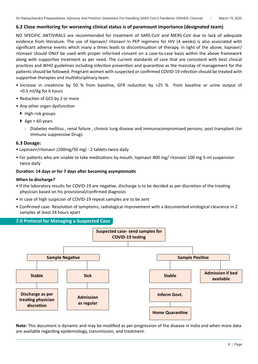# **6.2 Close monitoring for worsening clinical status is of paramount importance (designated team)**

NO SPECIFIC ANTIVIRALS are recommended for treatment of SARS-CoV and MERS-CoV due to lack of adequate evidence from literature. The use of lopnavir/ ritonavir in PEP regimens for HIV (4 weeks) is also associated with significant adverse events which many a times leads to discontinuation of therapy. In light of the above, lopnavir/ ritonavir should ONLY be used with proper informed consent on a case-to-case basis within the above framework along with supportive treatment as per need. The current standards of care that are consistent with best clinical practices and WHO guidelines including infection prevention and quarantine as the mainstay of management for the patients should be followed. Pregnant women with suspected or confirmed COVID-19 infection should be treated with supportive therapies and multidisciplinary team.

- • Increase in creatinine by 50 % from baseline, GFR reduction by >25 % from baseline or urine output of <0.5 ml/Kg for 6 hours
- Reduction of GCS by 2 or more
- Any other organ dysfunction
	- $\blacktriangleright$  High risk groups
	- $\blacktriangleright$  Age > 60 years
		- Diabetes mellitus, renal failure, chronic lung disease and immunocompromised persons, post transplant/on Immuno suppressive Drugs

# **6.3 Dosage:**

- Lopinavir/ritonavir (200mg/50 mg) 2 tablets twice daily
- For patients who are unable to take medications by mouth, lopinavir 400 mg/ ritonavir 100 mg 5-ml suspension twice daily

# **Duration: 14 days or for 7 days after becoming asymptomatic**

#### **When to discharge?**

- If the laboratory results for COVID-19 are negative, discharge is to be decided as per discretion of the treating physician based on his provisional/confirmed diagnosis
- In case of high suspicion of COVID-19 repeat samples are to be sent
- Confirmed case- Resolution of symptoms, radiological improvement with a documented virological clearance in 2 samples at least 24 hours apart

# **7.0 Protocol for Managing a Suspected Case**



**Note:** This document is dynamic and may be modified as per progression of the disease in India and when more data are available regarding epidemiology, transmission, and treatment.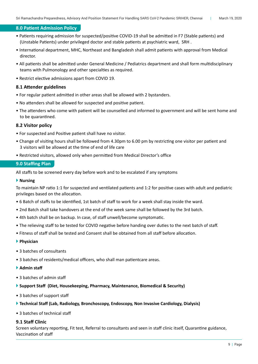# **8.0 Patient Admission Policy**

- Patients requiring admission for suspected/positive COVID-19 shall be admitted in F7 (Stable patients) and (Unstable Patients) under privileged doctor and stable patients at psychiatric ward, SRH .
- International department, MHC, Northeast and Bangladesh shall admit patients with approval from Medical director.
- All patients shall be admitted under General Medicine / Pediatrics department and shall form multidisciplinary teams with Pulmonology and other specialties as required.
- Restrict elective admissions apart from COVID 19.

#### **8.1 Attender guidelines**

- For regular patient admitted in other areas shall be allowed with 2 bystanders.
- No attenders shall be allowed for suspected and positive patient.
- The attenders who come with patient will be counselled and informed to government and will be sent home and to be quarantined.

#### **8.2 Visitor policy**

- For suspected and Positive patient shall have no visitor.
- Change of visiting hours shall be followed from 4.30pm to 6.00 pm by restricting one visitor per patient and 3 visitors will be allowed at the time of end of life care
- Restricted visitors, allowed only when permitted from Medical Director's office

#### **9.0 Staffing Plan**

All staffs to be screened every day before work and to be escalated if any symptoms

#### **Nursing**

To maintain NP ratio 1:1 for suspected and ventilated patients and 1:2 for positive cases with adult and pediatric privileges based on the allocation.

- 6 Batch of staffs to be identified, 1st batch of staff to work for a week shall stay inside the ward.
- 2nd Batch shall take handovers at the end of the week same shall be followed by the 3rd batch.
- 4th batch shall be on backup. In case, of staff unwell/become symptomatic.
- The relieving staff to be tested for COVID negative before handing over duties to the next batch of staff.
- Fitness of staff shall be tested and Consent shall be obtained from all staff before allocation.
- **Physician**
- 3 batches of consultants
- 3 batches of residents/medical officers, who shall man patientcare areas.
- **Admin staff**
- 3 batches of admin staff
- **Support Staff (Diet, Housekeeping, Pharmacy, Maintenance, Biomedical & Security)**
- 3 batches of support staff
- **Technical Staff (Lab, Radiology, Bronchoscopy, Endoscopy, Non Invasive Cardiology, Dialysis)**
- 3 batches of technical staff

# **9.1 Staff Clinic**

Screen voluntary reporting, Fit test, Referral to consultants and seen in staff clinic itself, Quarantine guidance, Vaccination of staff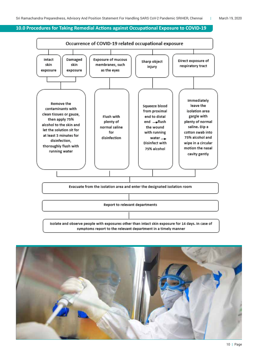#### **10.0 Procedures for Taking Remedial Actions against Occupational Exposure to COVID-19**

![](_page_11_Figure_3.jpeg)

![](_page_11_Picture_4.jpeg)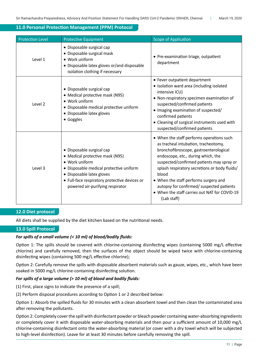# **11.0 Personal Protection Management (PPM) Protocol**

| <b>Protection Level</b> | <b>Protective Equipment</b>                                                                                                                                                                                                                 | <b>Scope of Application</b>                                                                                                                                                                                                                                                                                                                                                                                                    |
|-------------------------|---------------------------------------------------------------------------------------------------------------------------------------------------------------------------------------------------------------------------------------------|--------------------------------------------------------------------------------------------------------------------------------------------------------------------------------------------------------------------------------------------------------------------------------------------------------------------------------------------------------------------------------------------------------------------------------|
| Level 1                 | • Disposable surgical cap<br>• Disposable surgical mask<br>• Work uniform<br>• Disposable latex gloves or/and disposable<br>isolation clothing if necessary                                                                                 | • Pre-examination triage, outpatient<br>department                                                                                                                                                                                                                                                                                                                                                                             |
| Level 2                 | • Disposable surgical cap<br>• Medical protective mask (N95)<br>• Work uniform<br>· Disposable medical protective uniform<br>• Disposable latex gloves<br>• Goggles                                                                         | • Fever outpatient department<br>• Isolation ward area (including isolated<br>intensive ICU)<br>• Non-respiratory specimen examination of<br>suspected/confirmed patients<br>• Imaging examination of suspected/<br>confirmed patients<br>• Cleaning of surgical instruments used with<br>suspected/confirmed patients                                                                                                         |
| Level 3                 | • Disposable surgical cap<br>• Medical protective mask (N95)<br>• Work uniform<br>· Disposable medical protective uniform<br>• Disposable latex gloves<br>• Full-face respiratory protective devices or<br>powered air-purifying respirator | • When the staff performs operations such<br>as tracheal intubation, tracheotomy,<br>bronchofibroscope, gastroenterological<br>endoscope, etc., during which, the<br>suspected/confirmed patients may spray or<br>splash respiratory secretions or body fluids/<br>blood<br>• When the staff performs surgery and<br>autopsy for confirmed/ suspected patients<br>• When the staff carries out NAT for COVID-19<br>(Lab staff) |

# **12.0 Diet protocol**

All diets shall be supplied by the diet kitchen based on the nutritional needs.

# **13.0 Spill Protocol**

# *For spills of a small volume (< 10 ml) of blood/bodily fluids:*

Option 1: The spills should be covered with chlorine-containing disinfecting wipes (containing 5000 mg/L effective chlorine) and carefully removed, then the surfaces of the object should be wiped twice with chlorine-containing disinfecting wipes (containing 500 mg/L effective chlorine);

Option 2: Carefully remove the spills with disposable absorbent materials such as gauze, wipes, etc., which have been soaked in 5000 mg/L chlorine-containing disinfecting solution.

# *For spills of a large volume (> 10 ml) of blood and bodily fluids:*

(1) First, place signs to indicate the presence of a spill;

(2) Perform disposal procedures according to Option 1 or 2 described below:

Option 1: Absorb the spilled fluids for 30 minutes with a clean absorbent towel and then clean the contaminated area after removing the pollutants.

Option 2: Completely coverthe spill with disinfectant powder or bleach powder containing water-absorbing ingredients or completely cover it with disposable water-absorbing materials and then pour a sufficient amount of 10,000 mg/L chlorine-containing disinfectant onto the water-absorbing material (or cover with a dry towel which will be subjected to high-level disinfection). Leave for at least 30 minutes before carefully removing the spill.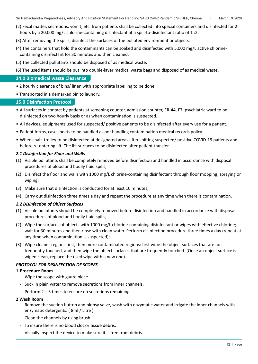- (2) Fecal matter, secretions, vomit, etc. from patients shall be collected into special containers and disinfected for 2 hours by a 20,000 mg/L chlorine-containing disinfectant at a spill-to-disinfectant ratio of 1:2.
- (3) After removing the spills, disinfect the surfaces of the polluted environment or objects.
- (4) The containers that hold the contaminants can be soaked and disinfected with 5,000 mg/L active chlorine- containing disinfectant for 30 minutes and then cleaned.
- (5) The collected pollutants should be disposed of as medical waste.
- (6) The used items should be put into double-layer medical waste bags and disposed of as medical waste.

# **14.0 Biomedical waste Clearance**

- 2 hourly clearance of bins/ linen with appropriate labelling to be done
- Transported in a demarked bin to laundry.

# **15.0 Disinfection Protocol**

- • All surfaces in contact by patients at screening counter, admission counter, ER-44, F7, psychiatric ward to be disinfected on two hourly basis or as when contamination is suspected.
- • All devices, equipments used for suspected/ positive patients to be disinfected after every use for a patient.
- Patient forms, case sheets to be handled as per handling contamination medical records policy.
- • Wheelchair, trolley to be disinfected at designated areas after shifting suspected/ positive COVID-19 patients and before re-entering lift. The lift surfaces to be disinfected after patient transfer.

# *2.1 Disinfection for Floor and Walls*

- (1) Visible pollutants shall be completely removed before disinfection and handled in accordance with disposal procedures of blood and bodily fluid spills;
- (2) Disinfect the floor and walls with 1000 mg/L chlorine-containing disinfectant through floor mopping, spraying or wiping;
- (3) Make sure that disinfection is conducted for at least 10 minutes;
- (4) Carry out disinfection three times a day and repeat the procedure at any time when there is contamination.

# *2.2 Disinfection of Object Surfaces*

- (1) Visible pollutants should be completely removed before disinfection and handled in accordance with disposal procedures of blood and bodily fluid spills;
- (2) Wipe the surfaces of objects with 1000 mg/L chlorine-containing disinfectant or wipes with effective chlorine; wait for 30 minutes and then rinse with clean water. Perform disinfection procedure three times a day (repeat at any time when contamination is suspected);
- (3) Wipe cleaner regions first, then more contaminated regions: first wipe the object surfaces that are not frequently touched, and then wipe the object surfaces that are frequently touched. (Once an object surface is wiped clean, replace the used wipe with a new one).

# *PROTOCOL FOR DISINFECTION OF SCOPES*

# **1 Procedure Room**

- Wipe the scope with gauze piece.
- Suck in plain water to remove secretions from inner channels.
- Perform  $2 3$  times to ensure no secretions remaining.

# **2 Wash Room**

- Remove the suction button and biopsy valve, wash with enzymatic water and irrigate the inner channels with enzymatic detergents. ( 8ml / Litre )
- Clean the channels by using brush.
- To insure there is no blood clot or tissue debris.
- Visually inspect the device to make sure it is free from debris.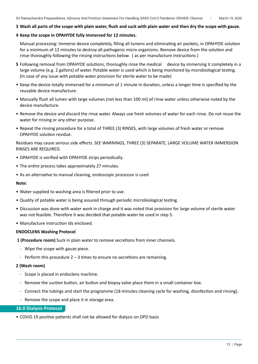#### **3 Wash all parts of the scope with plain water, flush and suck with plain water and then dry the scope with gauze.**

# **4 Keep the scope in OPAHYDE fully immersed for 12 minutes.**

 Manual processing: Immerse device completely, filling all lumens and eliminating air pockets, in OPAHYDE solution for a minimum of 12 minutes to destroy all pathogenic micro organisms. Remove device from the solution and rinse thoroughly following the rinsing instructions below. ( as per manufacture instructions )

- **5** Following removal from OPAHYDE solutions, thoroughly rinse the medical device by immersing it completely in a large volume (e.g. 2 gallons) of water. Potable water is used which is being monitored by microbiological testing. (In case of any issue with potable water provision for sterile water to be made)
- • Keep the device totally immersed for a minimum of 1 minute in duration, unless a longer time is specified by the reusable device manufacture.
- • Manually flush all lumen with large volumes (not less than 100 ml) of rinse water unless otherwise noted by the device manufacture.
- • Remove the device and discard the rinse water. Always use fresh volumes of water for each rinse. Do not reuse the water for rinsing or any other purpose.
- Repeat the rinsing procedure for a total of THREE (3) RINSES, with large volumes of fresh water or remove OPAHYDE solution residue.

Residues may cause serious side effects. SEE WARNINGS, THREE (3) SEPARATE, LARGE VOLUME WATER IMMERSION RINSES ARE REQUIRED.

- OPAHYDE is verified with OPAHYDE strips periodically.
- The entire process takes approximately 27 minutes.
- As an alternative to manual cleaning, endoscopic processor is used

#### **Note:**

- Water supplied to washing area is filtered prior to use.
- • Quality of potable water is being assured through periodic microbiological testing.
- • Discussion was done with water work in charge and it was noted that provision for large volume of sterile water was not feasible. Therefore it was decided that potable water be used in step 5.
- Manufacture instruction ids enclosed.

#### **ENDOCLENS Washing Protocol**

- **1 (Procedure room)** Suck in plain water to remove secretions from inner channels.
	- Wipe the scope with gauze piece.
	- Perform this procedure  $2 3$  times to ensure no secretions are remaining.

#### **2 (Wash room)**

- Scope is placed in endoclens machine.
- Remove the suction button, air button and biopsy valve place them in a small container box.
- Connect the tubings and start the programme (18 minutes cleaning cycle for washing, disinfection and rinsing).
- Remove the scope and place it in storage area.

#### **16.0 Dialysis Protocol**

• COVID 19 positive patients shall not be allowed for dialysis on OPD basis